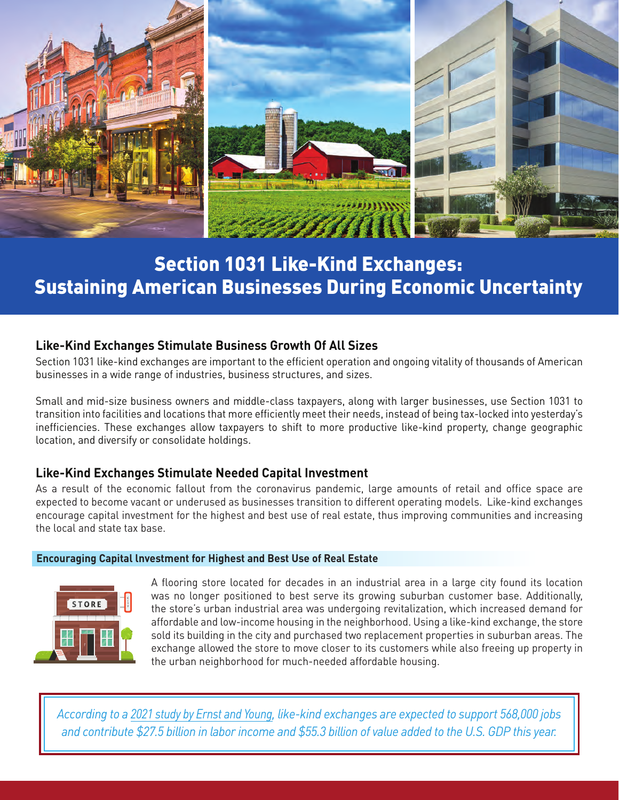

# Section 1031 Like-Kind Exchanges: Sustaining American Businesses During Economic Uncertainty

## **Like-Kind Exchanges Stimulate Business Growth Of All Sizes**

Section 1031 like-kind exchanges are important to the efficient operation and ongoing vitality of thousands of American businesses in a wide range of industries, business structures, and sizes.

Small and mid-size business owners and middle-class taxpayers, along with larger businesses, use Section 1031 to transition into facilities and locations that more efficiently meet their needs, instead of being tax-locked into yesterday's inefficiencies. These exchanges allow taxpayers to shift to more productive like-kind property, change geographic location, and diversify or consolidate holdings.

## **Like-Kind Exchanges Stimulate Needed Capital Investment**

As a result of the economic fallout from the coronavirus pandemic, large amounts of retail and office space are expected to become vacant or underused as businesses transition to different operating models. Like-kind exchanges encourage capital investment for the highest and best use of real estate, thus improving communities and increasing the local and state tax base.

#### **Encouraging Capital lnvestment for Highest and Best Use of Real Estate**



A flooring store located for decades in an industrial area in a large city found its location was no longer positioned to best serve its growing suburban customer base. Additionally, the store's urban industrial area was undergoing revitalization, which increased demand for affordable and low-income housing in the neighborhood. Using a like-kind exchange, the store sold its building in the city and purchased two replacement properties in suburban areas. The exchange allowed the store to move closer to its customers while also freeing up property in the urban neighborhood for much-needed affordable housing.

*[According to a 2021 study by Ernst and Young, like-kind exchanges are expected to support 568,000 jobs](https://1031buildsamerica.org/study-ey-lke-2021/)  and contribute \$27.5 billion in labor income and \$55.3 billion of value added to the U.S. GDP this year.*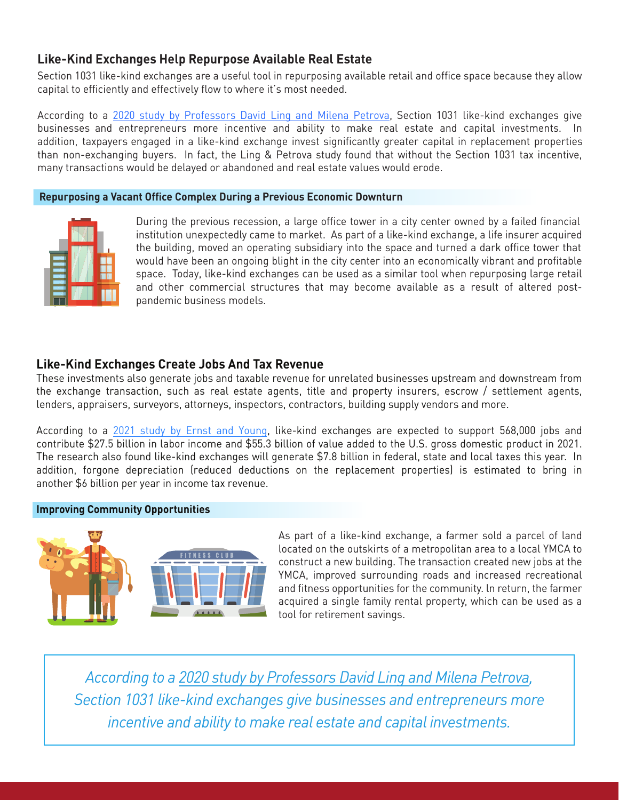## **Like-Kind Exchanges Help Repurpose Available Real Estate**

Section 1031 like-kind exchanges are a useful tool in repurposing available retail and office space because they allow capital to efficiently and effectively flow to where it's most needed.

According to a [2020 study by Professors David Ling and Milena Petrova,](https://1031buildsamerica.org/study-ling-petrova-2020/) Section 1031 like-kind exchanges give businesses and entrepreneurs more incentive and ability to make real estate and capital investments. In addition, taxpayers engaged in a like-kind exchange invest significantly greater capital in replacement properties than non-exchanging buyers. In fact, the Ling & Petrova study found that without the Section 1031 tax incentive, many transactions would be delayed or abandoned and real estate values would erode.

#### **Repurposing a Vacant Office Complex During a Previous Economic Downturn**



During the previous recession, a large office tower in a city center owned by a failed financial institution unexpectedly came to market. As part of a like-kind exchange, a life insurer acquired the building, moved an operating subsidiary into the space and turned a dark office tower that would have been an ongoing blight in the city center into an economically vibrant and profitable space. Today, like-kind exchanges can be used as a similar tool when repurposing large retail and other commercial structures that may become available as a result of altered postpandemic business models.

### **Like-Kind Exchanges Create Jobs And Tax Revenue**

These investments also generate jobs and taxable revenue for unrelated businesses upstream and downstream from the exchange transaction, such as real estate agents, title and property insurers, escrow / settlement agents, lenders, appraisers, surveyors, attorneys, inspectors, contractors, building supply vendors and more.

According to a [2021 study by Ernst and Young,](https://1031buildsamerica.org/study-ey-lke-2021/) like-kind exchanges are expected to support 568,000 jobs and contribute \$27.5 billion in labor income and \$55.3 billion of value added to the U.S. gross domestic product in 2021. The research also found like-kind exchanges will generate \$7.8 billion in federal, state and local taxes this year. In addition, forgone depreciation (reduced deductions on the replacement properties) is estimated to bring in another \$6 billion per year in income tax revenue.

#### **Improving Community Opportunities**



As part of a like-kind exchange, a farmer sold a parcel of land located on the outskirts of a metropolitan area to a local YMCA to construct a new building. The transaction created new jobs at the YMCA, improved surrounding roads and increased recreational and fitness opportunities for the community. ln return, the farmer acquired a single family rental property, which can be used as a tool for retirement savings.

*According to [a 2020 study by Professors David Ling and Milena Petrova,](https://1031buildsamerica.org/study-ling-petrova-2020/) Section 1031 like-kind exchanges give businesses and entrepreneurs more incentive and ability to make real estate and capital investments.*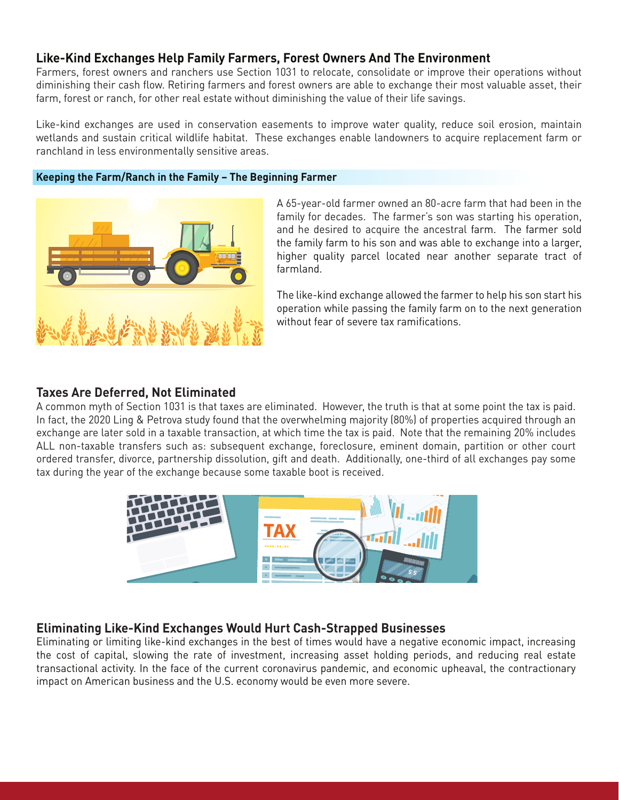## **Like-Kind Exchanges Help Family Farmers, Forest Owners And The Environment**

Farmers, forest owners and ranchers use Section 1031 to relocate, consolidate or improve their operations without diminishing their cash flow. Retiring farmers and forest owners are able to exchange their most valuable asset, their farm, forest or ranch, for other real estate without diminishing the value of their life savings.

Like-kind exchanges are used in conservation easements to improve water quality, reduce soil erosion, maintain wetlands and sustain critical wildlife habitat. These exchanges enable landowners to acquire replacement farm or ranchland in less environmentally sensitive areas.

#### **Keeping the Farm/Ranch in the Family – The Beginning Farmer**



A 65-year-old farmer owned an 80-acre farm that had been in the family for decades. The farmer's son was starting his operation, and he desired to acquire the ancestral farm. The farmer sold the family farm to his son and was able to exchange into a larger, higher quality parcel located near another separate tract of farmland.

The like-kind exchange allowed the farmer to help his son start his operation while passing the family farm on to the next generation without fear of severe tax ramifications.

#### **Taxes Are Deferred, Not Eliminated**

A common myth of Section 1031 is that taxes are eliminated. However, the truth is that at some point the tax is paid. In fact, the 2020 Ling & Petrova study found that the overwhelming majority (80%) of properties acquired through an exchange are later sold in a taxable transaction, at which time the tax is paid. Note that the remaining 20% includes ALL non-taxable transfers such as: subsequent exchange, foreclosure, eminent domain, partition or other court ordered transfer, divorce, partnership dissolution, gift and death. Additionally, one-third of all exchanges pay some tax during the year of the exchange because some taxable boot is received.



### **Eliminating Like-Kind Exchanges Would Hurt Cash-Strapped Businesses**

Eliminating or limiting like-kind exchanges in the best of times would have a negative economic impact, increasing the cost of capital, slowing the rate of investment, increasing asset holding periods, and reducing real estate transactional activity. In the face of the current coronavirus pandemic, and economic upheaval, the contractionary impact on American business and the U.S. economy would be even more severe.